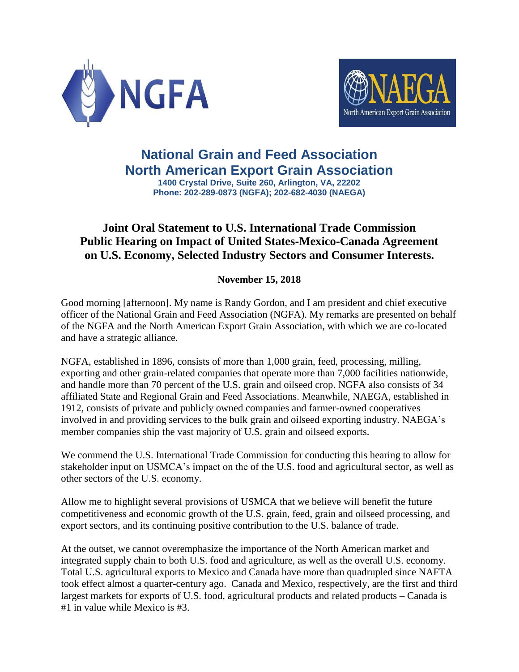



## **National Grain and Feed Association North American Export Grain Association**

**1400 Crystal Drive, Suite 260, Arlington, VA, 22202 Phone: 202-289-0873 (NGFA); 202-682-4030 (NAEGA)**

## **Joint Oral Statement to U.S. International Trade Commission Public Hearing on Impact of United States-Mexico-Canada Agreement on U.S. Economy, Selected Industry Sectors and Consumer Interests.**

## **November 15, 2018**

Good morning [afternoon]. My name is Randy Gordon, and I am president and chief executive officer of the National Grain and Feed Association (NGFA). My remarks are presented on behalf of the NGFA and the North American Export Grain Association, with which we are co-located and have a strategic alliance.

NGFA, established in 1896, consists of more than 1,000 grain, feed, processing, milling, exporting and other grain-related companies that operate more than 7,000 facilities nationwide, and handle more than 70 percent of the U.S. grain and oilseed crop. NGFA also consists of 34 affiliated State and Regional Grain and Feed Associations. Meanwhile, NAEGA, established in 1912, consists of private and publicly owned companies and farmer-owned cooperatives involved in and providing services to the bulk grain and oilseed exporting industry. NAEGA's member companies ship the vast majority of U.S. grain and oilseed exports.

We commend the U.S. International Trade Commission for conducting this hearing to allow for stakeholder input on USMCA's impact on the of the U.S. food and agricultural sector, as well as other sectors of the U.S. economy.

Allow me to highlight several provisions of USMCA that we believe will benefit the future competitiveness and economic growth of the U.S. grain, feed, grain and oilseed processing, and export sectors, and its continuing positive contribution to the U.S. balance of trade.

At the outset, we cannot overemphasize the importance of the North American market and integrated supply chain to both U.S. food and agriculture, as well as the overall U.S. economy. Total U.S. agricultural exports to Mexico and Canada have more than quadrupled since NAFTA took effect almost a quarter-century ago. Canada and Mexico, respectively, are the first and third largest markets for exports of U.S. food, agricultural products and related products – Canada is #1 in value while Mexico is #3.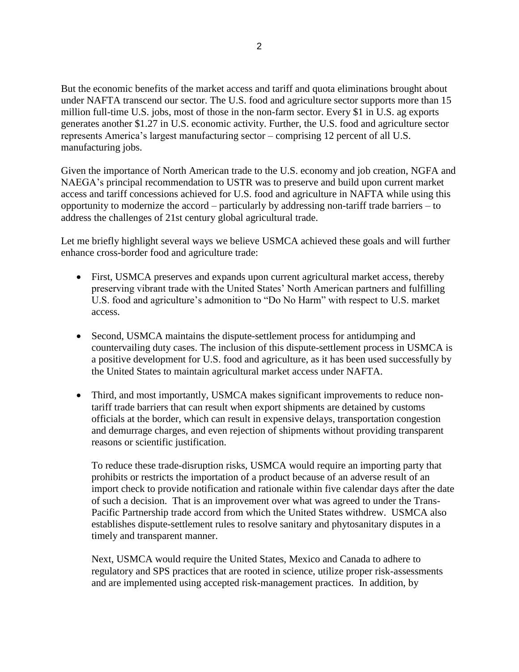But the economic benefits of the market access and tariff and quota eliminations brought about under NAFTA transcend our sector. The U.S. food and agriculture sector supports more than 15 million full-time U.S. jobs, most of those in the non-farm sector. Every \$1 in U.S. ag exports generates another \$1.27 in U.S. economic activity. Further, the U.S. food and agriculture sector represents America's largest manufacturing sector – comprising 12 percent of all U.S. manufacturing jobs.

Given the importance of North American trade to the U.S. economy and job creation, NGFA and NAEGA's principal recommendation to USTR was to preserve and build upon current market access and tariff concessions achieved for U.S. food and agriculture in NAFTA while using this opportunity to modernize the accord – particularly by addressing non-tariff trade barriers – to address the challenges of 21st century global agricultural trade.

Let me briefly highlight several ways we believe USMCA achieved these goals and will further enhance cross-border food and agriculture trade:

- First, USMCA preserves and expands upon current agricultural market access, thereby preserving vibrant trade with the United States' North American partners and fulfilling U.S. food and agriculture's admonition to "Do No Harm" with respect to U.S. market access.
- Second, USMCA maintains the dispute-settlement process for antidumping and countervailing duty cases. The inclusion of this dispute-settlement process in USMCA is a positive development for U.S. food and agriculture, as it has been used successfully by the United States to maintain agricultural market access under NAFTA.
- Third, and most importantly, USMCA makes significant improvements to reduce nontariff trade barriers that can result when export shipments are detained by customs officials at the border, which can result in expensive delays, transportation congestion and demurrage charges, and even rejection of shipments without providing transparent reasons or scientific justification.

To reduce these trade-disruption risks, USMCA would require an importing party that prohibits or restricts the importation of a product because of an adverse result of an import check to provide notification and rationale within five calendar days after the date of such a decision. That is an improvement over what was agreed to under the Trans-Pacific Partnership trade accord from which the United States withdrew. USMCA also establishes dispute-settlement rules to resolve sanitary and phytosanitary disputes in a timely and transparent manner.

Next, USMCA would require the United States, Mexico and Canada to adhere to regulatory and SPS practices that are rooted in science, utilize proper risk-assessments and are implemented using accepted risk-management practices. In addition, by